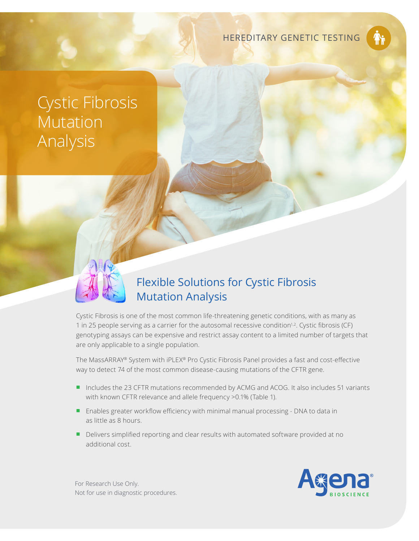HEREDITARY GENETIC TESTING

# Cystic Fibrosis Mutation Analysis

## Flexible Solutions for Cystic Fibrosis Mutation Analysis

Cystic Fibrosis is one of the most common life-threatening genetic conditions, with as many as 1 in 25 people serving as a carrier for the autosomal recessive condition<sup>1,2</sup>. Cystic fibrosis (CF) genotyping assays can be expensive and restrict assay content to a limited number of targets that are only applicable to a single population.

The MassARRAY® System with iPLEX® Pro Cystic Fibrosis Panel provides a fast and cost-effective way to detect 74 of the most common disease-causing mutations of the CFTR gene.

- Includes the 23 CFTR mutations recommended by ACMG and ACOG. It also includes 51 variants with known CFTR relevance and allele frequency >0.1% (Table 1).
- Enables greater workflow efficiency with minimal manual processing DNA to data in as little as 8 hours.
- Delivers simplified reporting and clear results with automated software provided at no additional cost.



For Research Use Only. Not for use in diagnostic procedures.